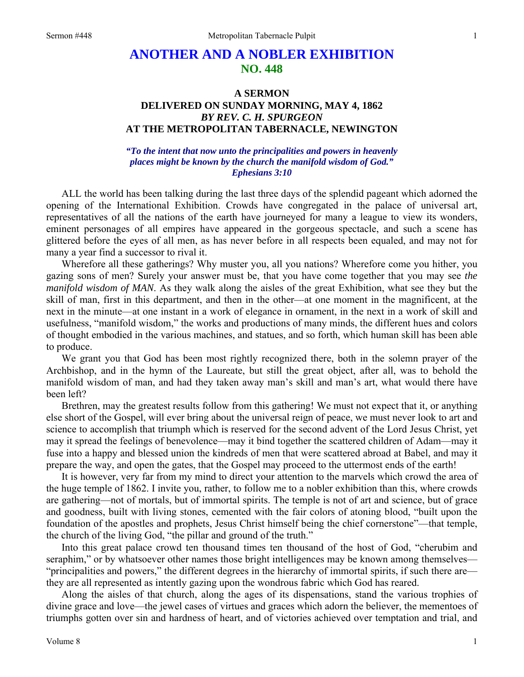## **ANOTHER AND A NOBLER EXHIBITION NO. 448**

## **A SERMON DELIVERED ON SUNDAY MORNING, MAY 4, 1862**  *BY REV. C. H. SPURGEON*  **AT THE METROPOLITAN TABERNACLE, NEWINGTON**

## *"To the intent that now unto the principalities and powers in heavenly places might be known by the church the manifold wisdom of God." Ephesians 3:10*

ALL the world has been talking during the last three days of the splendid pageant which adorned the opening of the International Exhibition. Crowds have congregated in the palace of universal art, representatives of all the nations of the earth have journeyed for many a league to view its wonders, eminent personages of all empires have appeared in the gorgeous spectacle, and such a scene has glittered before the eyes of all men, as has never before in all respects been equaled, and may not for many a year find a successor to rival it.

Wherefore all these gatherings? Why muster you, all you nations? Wherefore come you hither, you gazing sons of men? Surely your answer must be, that you have come together that you may see *the manifold wisdom of MAN*. As they walk along the aisles of the great Exhibition, what see they but the skill of man, first in this department, and then in the other—at one moment in the magnificent, at the next in the minute—at one instant in a work of elegance in ornament, in the next in a work of skill and usefulness, "manifold wisdom," the works and productions of many minds, the different hues and colors of thought embodied in the various machines, and statues, and so forth, which human skill has been able to produce.

We grant you that God has been most rightly recognized there, both in the solemn prayer of the Archbishop, and in the hymn of the Laureate, but still the great object, after all, was to behold the manifold wisdom of man, and had they taken away man's skill and man's art, what would there have been left?

Brethren, may the greatest results follow from this gathering! We must not expect that it, or anything else short of the Gospel, will ever bring about the universal reign of peace, we must never look to art and science to accomplish that triumph which is reserved for the second advent of the Lord Jesus Christ, yet may it spread the feelings of benevolence—may it bind together the scattered children of Adam—may it fuse into a happy and blessed union the kindreds of men that were scattered abroad at Babel, and may it prepare the way, and open the gates, that the Gospel may proceed to the uttermost ends of the earth!

It is however, very far from my mind to direct your attention to the marvels which crowd the area of the huge temple of 1862. I invite you, rather, to follow me to a nobler exhibition than this, where crowds are gathering—not of mortals, but of immortal spirits. The temple is not of art and science, but of grace and goodness, built with living stones, cemented with the fair colors of atoning blood, "built upon the foundation of the apostles and prophets, Jesus Christ himself being the chief cornerstone"—that temple, the church of the living God, "the pillar and ground of the truth."

Into this great palace crowd ten thousand times ten thousand of the host of God, "cherubim and seraphim," or by whatsoever other names those bright intelligences may be known among themselves— "principalities and powers," the different degrees in the hierarchy of immortal spirits, if such there are they are all represented as intently gazing upon the wondrous fabric which God has reared.

Along the aisles of that church, along the ages of its dispensations, stand the various trophies of divine grace and love—the jewel cases of virtues and graces which adorn the believer, the mementoes of triumphs gotten over sin and hardness of heart, and of victories achieved over temptation and trial, and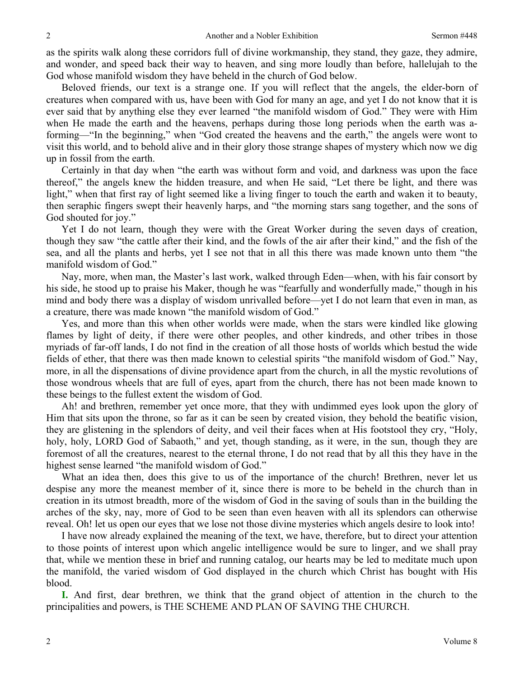as the spirits walk along these corridors full of divine workmanship, they stand, they gaze, they admire, and wonder, and speed back their way to heaven, and sing more loudly than before, hallelujah to the God whose manifold wisdom they have beheld in the church of God below.

Beloved friends, our text is a strange one. If you will reflect that the angels, the elder-born of creatures when compared with us, have been with God for many an age, and yet I do not know that it is ever said that by anything else they ever learned "the manifold wisdom of God." They were with Him when He made the earth and the heavens, perhaps during those long periods when the earth was aforming—"In the beginning," when "God created the heavens and the earth," the angels were wont to visit this world, and to behold alive and in their glory those strange shapes of mystery which now we dig up in fossil from the earth.

Certainly in that day when "the earth was without form and void, and darkness was upon the face thereof," the angels knew the hidden treasure, and when He said, "Let there be light, and there was light," when that first ray of light seemed like a living finger to touch the earth and waken it to beauty, then seraphic fingers swept their heavenly harps, and "the morning stars sang together, and the sons of God shouted for joy."

Yet I do not learn, though they were with the Great Worker during the seven days of creation, though they saw "the cattle after their kind, and the fowls of the air after their kind," and the fish of the sea, and all the plants and herbs, yet I see not that in all this there was made known unto them "the manifold wisdom of God."

Nay, more, when man, the Master's last work, walked through Eden—when, with his fair consort by his side, he stood up to praise his Maker, though he was "fearfully and wonderfully made," though in his mind and body there was a display of wisdom unrivalled before—yet I do not learn that even in man, as a creature, there was made known "the manifold wisdom of God."

Yes, and more than this when other worlds were made, when the stars were kindled like glowing flames by light of deity, if there were other peoples, and other kindreds, and other tribes in those myriads of far-off lands, I do not find in the creation of all those hosts of worlds which bestud the wide fields of ether, that there was then made known to celestial spirits "the manifold wisdom of God." Nay, more, in all the dispensations of divine providence apart from the church, in all the mystic revolutions of those wondrous wheels that are full of eyes, apart from the church, there has not been made known to these beings to the fullest extent the wisdom of God.

Ah! and brethren, remember yet once more, that they with undimmed eyes look upon the glory of Him that sits upon the throne, so far as it can be seen by created vision, they behold the beatific vision, they are glistening in the splendors of deity, and veil their faces when at His footstool they cry, "Holy, holy, holy, LORD God of Sabaoth," and yet, though standing, as it were, in the sun, though they are foremost of all the creatures, nearest to the eternal throne, I do not read that by all this they have in the highest sense learned "the manifold wisdom of God."

What an idea then, does this give to us of the importance of the church! Brethren, never let us despise any more the meanest member of it, since there is more to be beheld in the church than in creation in its utmost breadth, more of the wisdom of God in the saving of souls than in the building the arches of the sky, nay, more of God to be seen than even heaven with all its splendors can otherwise reveal. Oh! let us open our eyes that we lose not those divine mysteries which angels desire to look into!

I have now already explained the meaning of the text, we have, therefore, but to direct your attention to those points of interest upon which angelic intelligence would be sure to linger, and we shall pray that, while we mention these in brief and running catalog, our hearts may be led to meditate much upon the manifold, the varied wisdom of God displayed in the church which Christ has bought with His blood.

**I.** And first, dear brethren, we think that the grand object of attention in the church to the principalities and powers, is THE SCHEME AND PLAN OF SAVING THE CHURCH.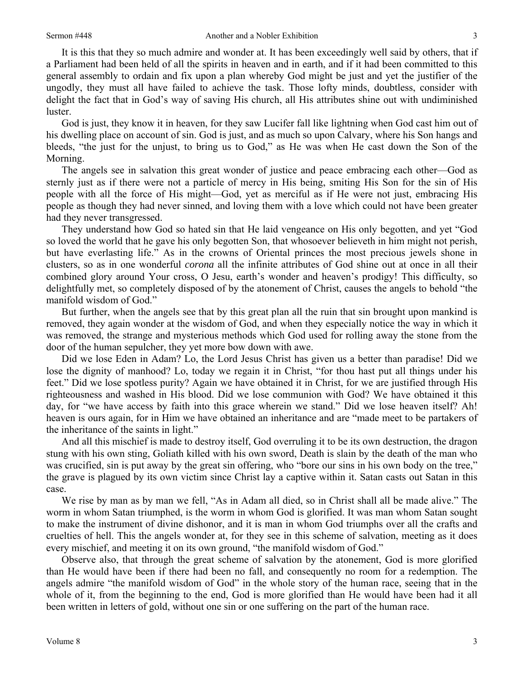It is this that they so much admire and wonder at. It has been exceedingly well said by others, that if a Parliament had been held of all the spirits in heaven and in earth, and if it had been committed to this general assembly to ordain and fix upon a plan whereby God might be just and yet the justifier of the ungodly, they must all have failed to achieve the task. Those lofty minds, doubtless, consider with delight the fact that in God's way of saving His church, all His attributes shine out with undiminished luster.

God is just, they know it in heaven, for they saw Lucifer fall like lightning when God cast him out of his dwelling place on account of sin. God is just, and as much so upon Calvary, where his Son hangs and bleeds, "the just for the unjust, to bring us to God," as He was when He cast down the Son of the Morning.

The angels see in salvation this great wonder of justice and peace embracing each other—God as sternly just as if there were not a particle of mercy in His being, smiting His Son for the sin of His people with all the force of His might—God, yet as merciful as if He were not just, embracing His people as though they had never sinned, and loving them with a love which could not have been greater had they never transgressed.

They understand how God so hated sin that He laid vengeance on His only begotten, and yet "God so loved the world that he gave his only begotten Son, that whosoever believeth in him might not perish, but have everlasting life." As in the crowns of Oriental princes the most precious jewels shone in clusters, so as in one wonderful *corona* all the infinite attributes of God shine out at once in all their combined glory around Your cross, O Jesu, earth's wonder and heaven's prodigy! This difficulty, so delightfully met, so completely disposed of by the atonement of Christ, causes the angels to behold "the manifold wisdom of God."

But further, when the angels see that by this great plan all the ruin that sin brought upon mankind is removed, they again wonder at the wisdom of God, and when they especially notice the way in which it was removed, the strange and mysterious methods which God used for rolling away the stone from the door of the human sepulcher, they yet more bow down with awe.

Did we lose Eden in Adam? Lo, the Lord Jesus Christ has given us a better than paradise! Did we lose the dignity of manhood? Lo, today we regain it in Christ, "for thou hast put all things under his feet." Did we lose spotless purity? Again we have obtained it in Christ, for we are justified through His righteousness and washed in His blood. Did we lose communion with God? We have obtained it this day, for "we have access by faith into this grace wherein we stand." Did we lose heaven itself? Ah! heaven is ours again, for in Him we have obtained an inheritance and are "made meet to be partakers of the inheritance of the saints in light."

And all this mischief is made to destroy itself, God overruling it to be its own destruction, the dragon stung with his own sting, Goliath killed with his own sword, Death is slain by the death of the man who was crucified, sin is put away by the great sin offering, who "bore our sins in his own body on the tree," the grave is plagued by its own victim since Christ lay a captive within it. Satan casts out Satan in this case.

We rise by man as by man we fell, "As in Adam all died, so in Christ shall all be made alive." The worm in whom Satan triumphed, is the worm in whom God is glorified. It was man whom Satan sought to make the instrument of divine dishonor, and it is man in whom God triumphs over all the crafts and cruelties of hell. This the angels wonder at, for they see in this scheme of salvation, meeting as it does every mischief, and meeting it on its own ground, "the manifold wisdom of God."

Observe also, that through the great scheme of salvation by the atonement, God is more glorified than He would have been if there had been no fall, and consequently no room for a redemption. The angels admire "the manifold wisdom of God" in the whole story of the human race, seeing that in the whole of it, from the beginning to the end, God is more glorified than He would have been had it all been written in letters of gold, without one sin or one suffering on the part of the human race.

3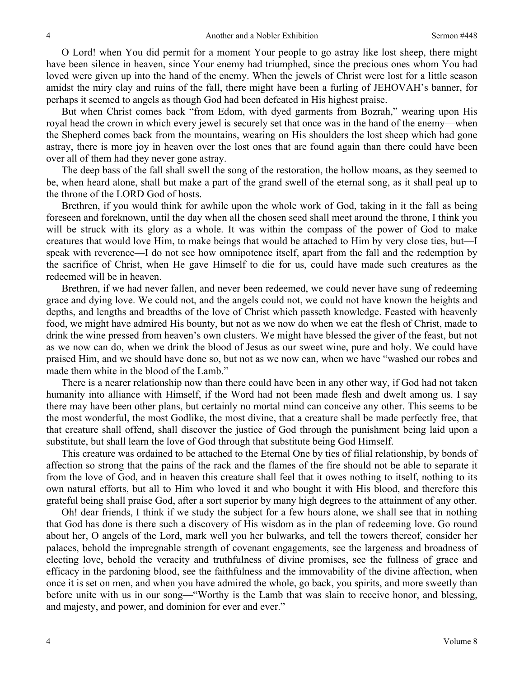O Lord! when You did permit for a moment Your people to go astray like lost sheep, there might have been silence in heaven, since Your enemy had triumphed, since the precious ones whom You had loved were given up into the hand of the enemy. When the jewels of Christ were lost for a little season amidst the miry clay and ruins of the fall, there might have been a furling of JEHOVAH's banner, for perhaps it seemed to angels as though God had been defeated in His highest praise.

But when Christ comes back "from Edom, with dyed garments from Bozrah," wearing upon His royal head the crown in which every jewel is securely set that once was in the hand of the enemy—when the Shepherd comes back from the mountains, wearing on His shoulders the lost sheep which had gone astray, there is more joy in heaven over the lost ones that are found again than there could have been over all of them had they never gone astray.

The deep bass of the fall shall swell the song of the restoration, the hollow moans, as they seemed to be, when heard alone, shall but make a part of the grand swell of the eternal song, as it shall peal up to the throne of the LORD God of hosts.

Brethren, if you would think for awhile upon the whole work of God, taking in it the fall as being foreseen and foreknown, until the day when all the chosen seed shall meet around the throne, I think you will be struck with its glory as a whole. It was within the compass of the power of God to make creatures that would love Him, to make beings that would be attached to Him by very close ties, but—I speak with reverence—I do not see how omnipotence itself, apart from the fall and the redemption by the sacrifice of Christ, when He gave Himself to die for us, could have made such creatures as the redeemed will be in heaven.

Brethren, if we had never fallen, and never been redeemed, we could never have sung of redeeming grace and dying love. We could not, and the angels could not, we could not have known the heights and depths, and lengths and breadths of the love of Christ which passeth knowledge. Feasted with heavenly food, we might have admired His bounty, but not as we now do when we eat the flesh of Christ, made to drink the wine pressed from heaven's own clusters. We might have blessed the giver of the feast, but not as we now can do, when we drink the blood of Jesus as our sweet wine, pure and holy. We could have praised Him, and we should have done so, but not as we now can, when we have "washed our robes and made them white in the blood of the Lamb."

There is a nearer relationship now than there could have been in any other way, if God had not taken humanity into alliance with Himself, if the Word had not been made flesh and dwelt among us. I say there may have been other plans, but certainly no mortal mind can conceive any other. This seems to be the most wonderful, the most Godlike, the most divine, that a creature shall be made perfectly free, that that creature shall offend, shall discover the justice of God through the punishment being laid upon a substitute, but shall learn the love of God through that substitute being God Himself.

This creature was ordained to be attached to the Eternal One by ties of filial relationship, by bonds of affection so strong that the pains of the rack and the flames of the fire should not be able to separate it from the love of God, and in heaven this creature shall feel that it owes nothing to itself, nothing to its own natural efforts, but all to Him who loved it and who bought it with His blood, and therefore this grateful being shall praise God, after a sort superior by many high degrees to the attainment of any other.

Oh! dear friends, I think if we study the subject for a few hours alone, we shall see that in nothing that God has done is there such a discovery of His wisdom as in the plan of redeeming love. Go round about her, O angels of the Lord, mark well you her bulwarks, and tell the towers thereof, consider her palaces, behold the impregnable strength of covenant engagements, see the largeness and broadness of electing love, behold the veracity and truthfulness of divine promises, see the fullness of grace and efficacy in the pardoning blood, see the faithfulness and the immovability of the divine affection, when once it is set on men, and when you have admired the whole, go back, you spirits, and more sweetly than before unite with us in our song—"Worthy is the Lamb that was slain to receive honor, and blessing, and majesty, and power, and dominion for ever and ever."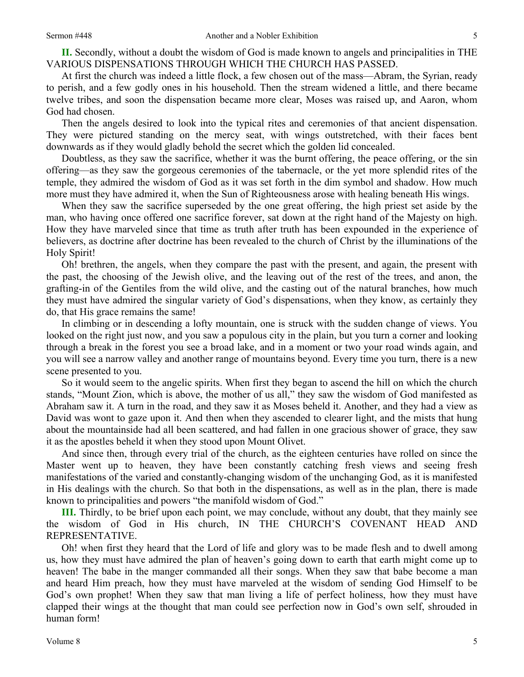**II.** Secondly, without a doubt the wisdom of God is made known to angels and principalities in THE VARIOUS DISPENSATIONS THROUGH WHICH THE CHURCH HAS PASSED.

At first the church was indeed a little flock, a few chosen out of the mass—Abram, the Syrian, ready to perish, and a few godly ones in his household. Then the stream widened a little, and there became twelve tribes, and soon the dispensation became more clear, Moses was raised up, and Aaron, whom God had chosen.

Then the angels desired to look into the typical rites and ceremonies of that ancient dispensation. They were pictured standing on the mercy seat, with wings outstretched, with their faces bent downwards as if they would gladly behold the secret which the golden lid concealed.

Doubtless, as they saw the sacrifice, whether it was the burnt offering, the peace offering, or the sin offering—as they saw the gorgeous ceremonies of the tabernacle, or the yet more splendid rites of the temple, they admired the wisdom of God as it was set forth in the dim symbol and shadow. How much more must they have admired it, when the Sun of Righteousness arose with healing beneath His wings.

When they saw the sacrifice superseded by the one great offering, the high priest set aside by the man, who having once offered one sacrifice forever, sat down at the right hand of the Majesty on high. How they have marveled since that time as truth after truth has been expounded in the experience of believers, as doctrine after doctrine has been revealed to the church of Christ by the illuminations of the Holy Spirit!

Oh! brethren, the angels, when they compare the past with the present, and again, the present with the past, the choosing of the Jewish olive, and the leaving out of the rest of the trees, and anon, the grafting-in of the Gentiles from the wild olive, and the casting out of the natural branches, how much they must have admired the singular variety of God's dispensations, when they know, as certainly they do, that His grace remains the same!

In climbing or in descending a lofty mountain, one is struck with the sudden change of views. You looked on the right just now, and you saw a populous city in the plain, but you turn a corner and looking through a break in the forest you see a broad lake, and in a moment or two your road winds again, and you will see a narrow valley and another range of mountains beyond. Every time you turn, there is a new scene presented to you.

So it would seem to the angelic spirits. When first they began to ascend the hill on which the church stands, "Mount Zion, which is above, the mother of us all," they saw the wisdom of God manifested as Abraham saw it. A turn in the road, and they saw it as Moses beheld it. Another, and they had a view as David was wont to gaze upon it. And then when they ascended to clearer light, and the mists that hung about the mountainside had all been scattered, and had fallen in one gracious shower of grace, they saw it as the apostles beheld it when they stood upon Mount Olivet.

And since then, through every trial of the church, as the eighteen centuries have rolled on since the Master went up to heaven, they have been constantly catching fresh views and seeing fresh manifestations of the varied and constantly-changing wisdom of the unchanging God, as it is manifested in His dealings with the church. So that both in the dispensations, as well as in the plan, there is made known to principalities and powers "the manifold wisdom of God."

**III.** Thirdly, to be brief upon each point, we may conclude, without any doubt, that they mainly see the wisdom of God in His church, IN THE CHURCH'S COVENANT HEAD AND REPRESENTATIVE.

Oh! when first they heard that the Lord of life and glory was to be made flesh and to dwell among us, how they must have admired the plan of heaven's going down to earth that earth might come up to heaven! The babe in the manger commanded all their songs. When they saw that babe become a man and heard Him preach, how they must have marveled at the wisdom of sending God Himself to be God's own prophet! When they saw that man living a life of perfect holiness, how they must have clapped their wings at the thought that man could see perfection now in God's own self, shrouded in human form!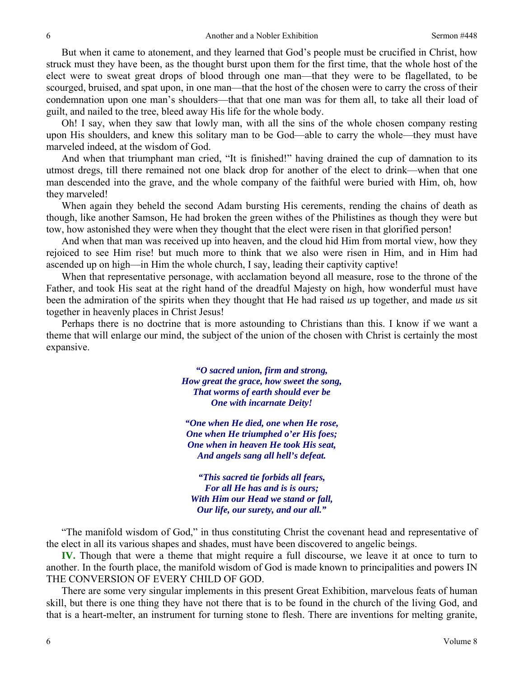But when it came to atonement, and they learned that God's people must be crucified in Christ, how struck must they have been, as the thought burst upon them for the first time, that the whole host of the elect were to sweat great drops of blood through one man—that they were to be flagellated, to be scourged, bruised, and spat upon, in one man—that the host of the chosen were to carry the cross of their condemnation upon one man's shoulders—that that one man was for them all, to take all their load of guilt, and nailed to the tree, bleed away His life for the whole body.

Oh! I say, when they saw that lowly man, with all the sins of the whole chosen company resting upon His shoulders, and knew this solitary man to be God—able to carry the whole—they must have marveled indeed, at the wisdom of God.

And when that triumphant man cried, "It is finished!" having drained the cup of damnation to its utmost dregs, till there remained not one black drop for another of the elect to drink—when that one man descended into the grave, and the whole company of the faithful were buried with Him, oh, how they marveled!

When again they beheld the second Adam bursting His cerements, rending the chains of death as though, like another Samson, He had broken the green withes of the Philistines as though they were but tow, how astonished they were when they thought that the elect were risen in that glorified person!

And when that man was received up into heaven, and the cloud hid Him from mortal view, how they rejoiced to see Him rise! but much more to think that we also were risen in Him, and in Him had ascended up on high—in Him the whole church, I say, leading their captivity captive!

When that representative personage, with acclamation beyond all measure, rose to the throne of the Father, and took His seat at the right hand of the dreadful Majesty on high, how wonderful must have been the admiration of the spirits when they thought that He had raised *us* up together, and made *us* sit together in heavenly places in Christ Jesus!

Perhaps there is no doctrine that is more astounding to Christians than this. I know if we want a theme that will enlarge our mind, the subject of the union of the chosen with Christ is certainly the most expansive.

> *"O sacred union, firm and strong, How great the grace, how sweet the song, That worms of earth should ever be One with incarnate Deity!*

*"One when He died, one when He rose, One when He triumphed o'er His foes; One when in heaven He took His seat, And angels sang all hell's defeat.* 

*"This sacred tie forbids all fears, For all He has and is is ours; With Him our Head we stand or fall, Our life, our surety, and our all."* 

"The manifold wisdom of God," in thus constituting Christ the covenant head and representative of the elect in all its various shapes and shades, must have been discovered to angelic beings.

**IV.** Though that were a theme that might require a full discourse, we leave it at once to turn to another. In the fourth place, the manifold wisdom of God is made known to principalities and powers IN THE CONVERSION OF EVERY CHILD OF GOD.

There are some very singular implements in this present Great Exhibition, marvelous feats of human skill, but there is one thing they have not there that is to be found in the church of the living God, and that is a heart-melter, an instrument for turning stone to flesh. There are inventions for melting granite,

6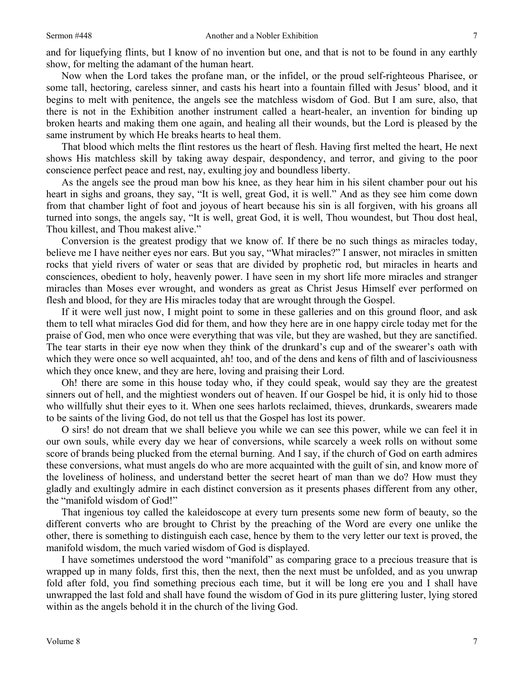and for liquefying flints, but I know of no invention but one, and that is not to be found in any earthly show, for melting the adamant of the human heart.

Now when the Lord takes the profane man, or the infidel, or the proud self-righteous Pharisee, or some tall, hectoring, careless sinner, and casts his heart into a fountain filled with Jesus' blood, and it begins to melt with penitence, the angels see the matchless wisdom of God. But I am sure, also, that there is not in the Exhibition another instrument called a heart-healer, an invention for binding up broken hearts and making them one again, and healing all their wounds, but the Lord is pleased by the same instrument by which He breaks hearts to heal them.

That blood which melts the flint restores us the heart of flesh. Having first melted the heart, He next shows His matchless skill by taking away despair, despondency, and terror, and giving to the poor conscience perfect peace and rest, nay, exulting joy and boundless liberty.

As the angels see the proud man bow his knee, as they hear him in his silent chamber pour out his heart in sighs and groans, they say, "It is well, great God, it is well." And as they see him come down from that chamber light of foot and joyous of heart because his sin is all forgiven, with his groans all turned into songs, the angels say, "It is well, great God, it is well, Thou woundest, but Thou dost heal, Thou killest, and Thou makest alive."

Conversion is the greatest prodigy that we know of. If there be no such things as miracles today, believe me I have neither eyes nor ears. But you say, "What miracles?" I answer, not miracles in smitten rocks that yield rivers of water or seas that are divided by prophetic rod, but miracles in hearts and consciences, obedient to holy, heavenly power. I have seen in my short life more miracles and stranger miracles than Moses ever wrought, and wonders as great as Christ Jesus Himself ever performed on flesh and blood, for they are His miracles today that are wrought through the Gospel.

If it were well just now, I might point to some in these galleries and on this ground floor, and ask them to tell what miracles God did for them, and how they here are in one happy circle today met for the praise of God, men who once were everything that was vile, but they are washed, but they are sanctified. The tear starts in their eye now when they think of the drunkard's cup and of the swearer's oath with which they were once so well acquainted, ah! too, and of the dens and kens of filth and of lasciviousness which they once knew, and they are here, loving and praising their Lord.

Oh! there are some in this house today who, if they could speak, would say they are the greatest sinners out of hell, and the mightiest wonders out of heaven. If our Gospel be hid, it is only hid to those who willfully shut their eyes to it. When one sees harlots reclaimed, thieves, drunkards, swearers made to be saints of the living God, do not tell us that the Gospel has lost its power.

O sirs! do not dream that we shall believe you while we can see this power, while we can feel it in our own souls, while every day we hear of conversions, while scarcely a week rolls on without some score of brands being plucked from the eternal burning. And I say, if the church of God on earth admires these conversions, what must angels do who are more acquainted with the guilt of sin, and know more of the loveliness of holiness, and understand better the secret heart of man than we do? How must they gladly and exultingly admire in each distinct conversion as it presents phases different from any other, the "manifold wisdom of God!"

That ingenious toy called the kaleidoscope at every turn presents some new form of beauty, so the different converts who are brought to Christ by the preaching of the Word are every one unlike the other, there is something to distinguish each case, hence by them to the very letter our text is proved, the manifold wisdom, the much varied wisdom of God is displayed.

I have sometimes understood the word "manifold" as comparing grace to a precious treasure that is wrapped up in many folds, first this, then the next, then the next must be unfolded, and as you unwrap fold after fold, you find something precious each time, but it will be long ere you and I shall have unwrapped the last fold and shall have found the wisdom of God in its pure glittering luster, lying stored within as the angels behold it in the church of the living God.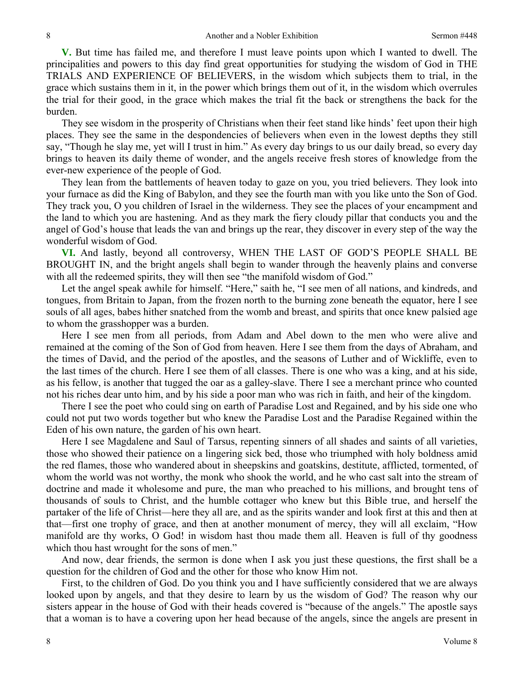**V.** But time has failed me, and therefore I must leave points upon which I wanted to dwell. The principalities and powers to this day find great opportunities for studying the wisdom of God in THE TRIALS AND EXPERIENCE OF BELIEVERS, in the wisdom which subjects them to trial, in the grace which sustains them in it, in the power which brings them out of it, in the wisdom which overrules the trial for their good, in the grace which makes the trial fit the back or strengthens the back for the burden.

They see wisdom in the prosperity of Christians when their feet stand like hinds' feet upon their high places. They see the same in the despondencies of believers when even in the lowest depths they still say, "Though he slay me, yet will I trust in him." As every day brings to us our daily bread, so every day brings to heaven its daily theme of wonder, and the angels receive fresh stores of knowledge from the ever-new experience of the people of God.

They lean from the battlements of heaven today to gaze on you, you tried believers. They look into your furnace as did the King of Babylon, and they see the fourth man with you like unto the Son of God. They track you, O you children of Israel in the wilderness. They see the places of your encampment and the land to which you are hastening. And as they mark the fiery cloudy pillar that conducts you and the angel of God's house that leads the van and brings up the rear, they discover in every step of the way the wonderful wisdom of God.

**VI.** And lastly, beyond all controversy, WHEN THE LAST OF GOD'S PEOPLE SHALL BE BROUGHT IN, and the bright angels shall begin to wander through the heavenly plains and converse with all the redeemed spirits, they will then see "the manifold wisdom of God."

Let the angel speak awhile for himself. "Here," saith he, "I see men of all nations, and kindreds, and tongues, from Britain to Japan, from the frozen north to the burning zone beneath the equator, here I see souls of all ages, babes hither snatched from the womb and breast, and spirits that once knew palsied age to whom the grasshopper was a burden.

Here I see men from all periods, from Adam and Abel down to the men who were alive and remained at the coming of the Son of God from heaven. Here I see them from the days of Abraham, and the times of David, and the period of the apostles, and the seasons of Luther and of Wickliffe, even to the last times of the church. Here I see them of all classes. There is one who was a king, and at his side, as his fellow, is another that tugged the oar as a galley-slave. There I see a merchant prince who counted not his riches dear unto him, and by his side a poor man who was rich in faith, and heir of the kingdom.

There I see the poet who could sing on earth of Paradise Lost and Regained, and by his side one who could not put two words together but who knew the Paradise Lost and the Paradise Regained within the Eden of his own nature, the garden of his own heart.

Here I see Magdalene and Saul of Tarsus, repenting sinners of all shades and saints of all varieties, those who showed their patience on a lingering sick bed, those who triumphed with holy boldness amid the red flames, those who wandered about in sheepskins and goatskins, destitute, afflicted, tormented, of whom the world was not worthy, the monk who shook the world, and he who cast salt into the stream of doctrine and made it wholesome and pure, the man who preached to his millions, and brought tens of thousands of souls to Christ, and the humble cottager who knew but this Bible true, and herself the partaker of the life of Christ—here they all are, and as the spirits wander and look first at this and then at that—first one trophy of grace, and then at another monument of mercy, they will all exclaim, "How manifold are thy works, O God! in wisdom hast thou made them all. Heaven is full of thy goodness which thou hast wrought for the sons of men."

And now, dear friends, the sermon is done when I ask you just these questions, the first shall be a question for the children of God and the other for those who know Him not.

First, to the children of God. Do you think you and I have sufficiently considered that we are always looked upon by angels, and that they desire to learn by us the wisdom of God? The reason why our sisters appear in the house of God with their heads covered is "because of the angels." The apostle says that a woman is to have a covering upon her head because of the angels, since the angels are present in